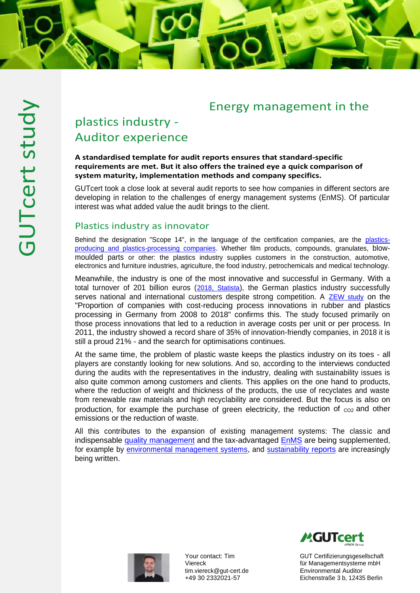## Energy management in the

# plastics industry - Auditor experience

#### **A standardised template for audit reports ensures that standard-specific requirements are met. But it also offers the trained eye a quick comparison of system maturity, implementation methods and company specifics.**

GUTcert took a close look at several audit reports to see how companies in different sectors are developing in relation to the challenges of energy management systems (EnMS). Of particular interest was what added value the audit brings to the client.

### Plastics industry as innovator

Behind the designation "Scope 14", in the language of the certification companies, are the [plastics](https://www.gut-cert.de/branchen/kunststoff-maschinenbau-feinmechanik-metall-automobil-bahn-luftfahrt.html)[producing and plastics-processing companies.](https://www.gut-cert.de/branchen/kunststoff-maschinenbau-feinmechanik-metall-automobil-bahn-luftfahrt.html) Whether film products, compounds, granulates, blowmoulded parts or other: the plastics industry supplies customers in the construction, automotive, electronics and furniture industries, agriculture, the food industry, petrochemicals and medical technology.

Meanwhile, the industry is one of the most innovative and successful in Germany. With a total turnover of 201 billion euros ([2018, Statista](https://de.statista.com/themen/3094/kunststoffindustrie-in-deutschland/)), the German plastics industry successfully serves national and international customers despite strong competition. A [ZEW study](https://de.statista.com/statistik/daten/studie/420690/umfrage/unternehmen-in-der-kunststoffindustrie-mit-kostensenkenden-prozessinnovationen/) on the "Proportion of companies with cost-reducing process innovations in rubber and plastics processing in Germany from 2008 to 2018" confirms this. The study focused primarily on those process innovations that led to a reduction in average costs per unit or per process. In 2011, the industry showed a record share of 35% of innovation-friendly companies, in 2018 it is still a proud 21% - and the search for optimisations continues.

At the same time, the problem of plastic waste keeps the plastics industry on its toes - all players are constantly looking for new solutions. And so, according to the interviews conducted during the audits with the representatives in the industry, dealing with sustainability issues is also quite common among customers and clients. This applies on the one hand to products, where the reduction of weight and thickness of the products, the use of recyclates and waste from renewable raw materials and high recyclability are considered. But the focus is also on production, for example the purchase of green electricity, the reduction of  $_{\text{CO2}}$  and other emissions or the reduction of waste.

All this contributes to the expansion of existing management systems: The classic and indispensable [quality management](https://www.gut-cert.de/produkte/managementsysteme-azav/qualitaet.html) and the tax-advantaged [EnMS](https://www.gut-cert.de/produkte/managementsysteme-azav/energie.html) are being supplemented, for example by [environmental management systems,](https://www.gut-cert.de/produkte/managementsysteme-azav/umwelt.html) and [sustainability reports](https://www.gut-cert.de/produkte/nachhaltigkeit/nachhaltige-entwicklung.html) are increasingly being written.



Your contact: Tim Viereck [tim.viereck@gut-cert.de](mailto:tim.viereck@gut-cert.de) +49 30 2332021-57

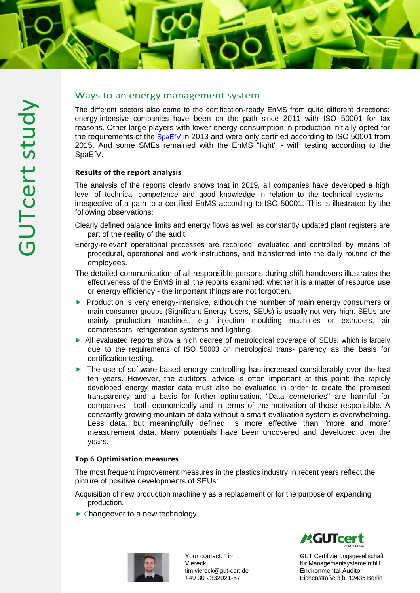

## Ways to an energy management system

The different sectors also come to the certification-ready EnMS from quite different directions: energy-intensive companies have been on the path since 2011 with ISO 50001 for tax reasons. Other large players with lower energy consumption in production initially opted for the requirements of the [SpaEfV](https://www.gut-cert.de/produkte/managementsysteme-azav/energie/spitzenausgleich-enms.html) in 2013 and were only certified according to ISO 50001 from 2015. And some SMEs remained with the EnMS "light" - with testing according to the SpaEfV.

#### **Results of the report analysis**

The analysis of the reports clearly shows that in 2019, all companies have developed a high level of technical competence and good knowledge in relation to the technical systems irrespective of a path to a certified EnMS according to ISO 50001. This is illustrated by the following observations:

- Clearly defined balance limits and energy flows as well as constantly updated plant registers are part of the reality of the audit.
- Energy-relevant operational processes are recorded, evaluated and controlled by means of procedural, operational and work instructions, and transferred into the daily routine of the employees.
- The detailed communication of all responsible persons during shift handovers illustrates the effectiveness of the EnMS in all the reports examined: whether it is a matter of resource use or energy efficiency - the important things are not forgotten.
- ▶ Production is very energy-intensive, although the number of main energy consumers or main consumer groups (Significant Energy Users, SEUs) is usually not very high. SEUs are mainly production machines, e.g. injection moulding machines or extruders, air compressors, refrigeration systems and lighting.
- ▶ All evaluated reports show a high degree of metrological coverage of SEUs, which is largely due to the requirements of ISO 50003 on metrological trans- parency as the basis for certification testing.
- ► The use of software-based energy controlling has increased considerably over the last ten years. However, the auditors' advice is often important at this point: the rapidly developed energy master data must also be evaluated in order to create the promised transparency and a basis for further optimisation. "Data cemeteries" are harmful for companies - both economically and in terms of the motivation of those responsible. A constantly growing mountain of data without a smart evaluation system is overwhelming. Less data, but meaningfully defined, is more effective than "more and more" measurement data. Many potentials have been uncovered and developed over the years.

#### **Top 6 Optimisation measures**

The most frequent improvement measures in the plastics industry in recent years reflect the picture of positive developments of SEUs:

- Acquisition of new production machinery as a replacement or for the purpose of expanding production.
- ► Changeover to a new technology



Your contact: Tim Viereck [tim.viereck@gut-cert.de](mailto:tim.viereck@gut-cert.de) +49 30 2332021-57

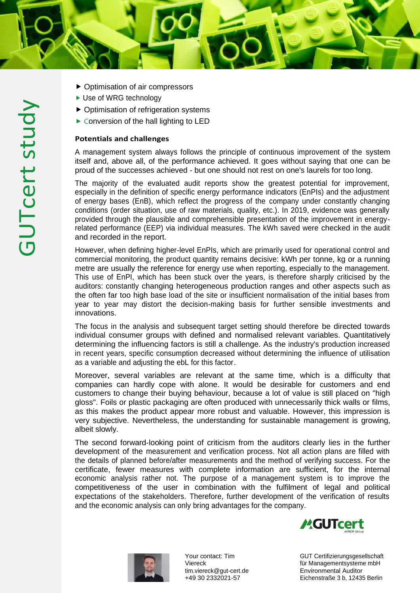- ► Use of WRG technology
- ⯈ Optimisation of refrigeration systems
- ▶ Conversion of the hall lighting to LED

#### **Potentials and challenges**

A management system always follows the principle of continuous improvement of the system itself and, above all, of the performance achieved. It goes without saying that one can be proud of the successes achieved - but one should not rest on one's laurels for too long.

The majority of the evaluated audit reports show the greatest potential for improvement, especially in the definition of specific energy performance indicators (EnPIs) and the adjustment of energy bases (EnB), which reflect the progress of the company under constantly changing conditions (order situation, use of raw materials, quality, etc.). In 2019, evidence was generally provided through the plausible and comprehensible presentation of the improvement in energyrelated performance (EEP) via individual measures. The kWh saved were checked in the audit and recorded in the report.

However, when defining higher-level EnPIs, which are primarily used for operational control and commercial monitoring, the product quantity remains decisive: kWh per tonne, kg or a running metre are usually the reference for energy use when reporting, especially to the management. This use of EnPI, which has been stuck over the years, is therefore sharply criticised by the auditors: constantly changing heterogeneous production ranges and other aspects such as the often far too high base load of the site or insufficient normalisation of the initial bases from year to year may distort the decision-making basis for further sensible investments and innovations.

The focus in the analysis and subsequent target setting should therefore be directed towards individual consumer groups with defined and normalised relevant variables. Quantitatively determining the influencing factors is still a challenge. As the industry's production increased in recent years, specific consumption decreased without determining the influence of utilisation as a variable and adjusting the ebL for this factor.

Moreover, several variables are relevant at the same time, which is a difficulty that companies can hardly cope with alone. It would be desirable for customers and end customers to change their buying behaviour, because a lot of value is still placed on "high gloss". Foils or plastic packaging are often produced with unnecessarily thick walls or films, as this makes the product appear more robust and valuable. However, this impression is very subjective. Nevertheless, the understanding for sustainable management is growing, albeit slowly.

The second forward-looking point of criticism from the auditors clearly lies in the further development of the measurement and verification process. Not all action plans are filled with the details of planned before/after measurements and the method of verifying success. For the certificate, fewer measures with complete information are sufficient, for the internal economic analysis rather not. The purpose of a management system is to improve the competitiveness of the user in combination with the fulfilment of legal and political expectations of the stakeholders. Therefore, further development of the verification of results and the economic analysis can only bring advantages for the company.



Your contact: Tim Viereck [tim.viereck@gut-cert.de](mailto:tim.viereck@gut-cert.de) +49 30 2332021-57